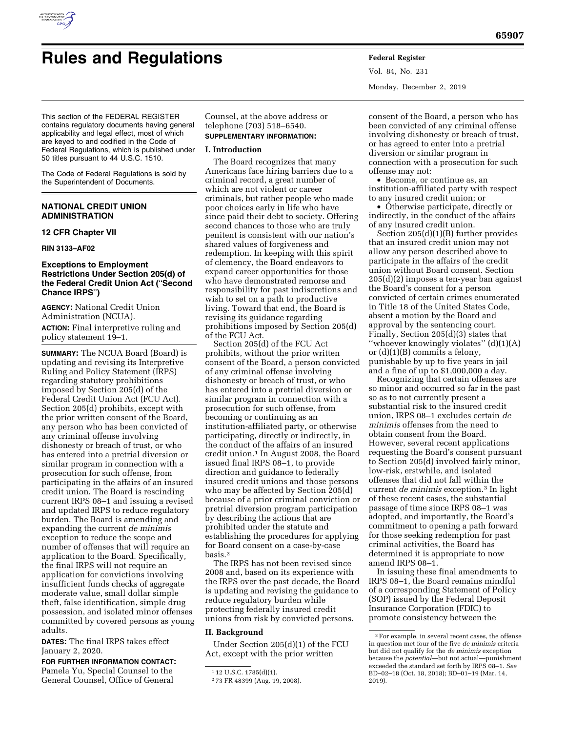

# **Rules and Regulations Federal Register**

Vol. 84, No. 231 Monday, December 2, 2019

This section of the FEDERAL REGISTER contains regulatory documents having general applicability and legal effect, most of which are keyed to and codified in the Code of Federal Regulations, which is published under 50 titles pursuant to 44 U.S.C. 1510.

The Code of Federal Regulations is sold by the Superintendent of Documents.

### **NATIONAL CREDIT UNION ADMINISTRATION**

#### **12 CFR Chapter VII**

#### **RIN 3133–AF02**

#### **Exceptions to Employment Restrictions Under Section 205(d) of the Federal Credit Union Act (**''**Second Chance IRPS**''**)**

**AGENCY:** National Credit Union Administration (NCUA).

**ACTION:** Final interpretive ruling and policy statement 19–1.

**SUMMARY:** The NCUA Board (Board) is updating and revising its Interpretive Ruling and Policy Statement (IRPS) regarding statutory prohibitions imposed by Section 205(d) of the Federal Credit Union Act (FCU Act). Section 205(d) prohibits, except with the prior written consent of the Board, any person who has been convicted of any criminal offense involving dishonesty or breach of trust, or who has entered into a pretrial diversion or similar program in connection with a prosecution for such offense, from participating in the affairs of an insured credit union. The Board is rescinding current IRPS 08–1 and issuing a revised and updated IRPS to reduce regulatory burden. The Board is amending and expanding the current *de minimis*  exception to reduce the scope and number of offenses that will require an application to the Board. Specifically, the final IRPS will not require an application for convictions involving insufficient funds checks of aggregate moderate value, small dollar simple theft, false identification, simple drug possession, and isolated minor offenses committed by covered persons as young adults.

**DATES:** The final IRPS takes effect January 2, 2020.

**FOR FURTHER INFORMATION CONTACT:**  Pamela Yu, Special Counsel to the General Counsel, Office of General

Counsel, at the above address or telephone (703) 518–6540. **SUPPLEMENTARY INFORMATION:** 

#### **I. Introduction**

The Board recognizes that many Americans face hiring barriers due to a criminal record, a great number of which are not violent or career criminals, but rather people who made poor choices early in life who have since paid their debt to society. Offering second chances to those who are truly penitent is consistent with our nation's shared values of forgiveness and redemption. In keeping with this spirit of clemency, the Board endeavors to expand career opportunities for those who have demonstrated remorse and responsibility for past indiscretions and wish to set on a path to productive living. Toward that end, the Board is revising its guidance regarding prohibitions imposed by Section 205(d) of the FCU Act.

Section 205(d) of the FCU Act prohibits, without the prior written consent of the Board, a person convicted of any criminal offense involving dishonesty or breach of trust, or who has entered into a pretrial diversion or similar program in connection with a prosecution for such offense, from becoming or continuing as an institution-affiliated party, or otherwise participating, directly or indirectly, in the conduct of the affairs of an insured credit union.1 In August 2008, the Board issued final IRPS 08–1, to provide direction and guidance to federally insured credit unions and those persons who may be affected by Section 205(d) because of a prior criminal conviction or pretrial diversion program participation by describing the actions that are prohibited under the statute and establishing the procedures for applying for Board consent on a case-by-case basis.2

The IRPS has not been revised since 2008 and, based on its experience with the IRPS over the past decade, the Board is updating and revising the guidance to reduce regulatory burden while protecting federally insured credit unions from risk by convicted persons.

#### **II. Background**

Under Section 205(d)(1) of the FCU Act, except with the prior written

consent of the Board, a person who has been convicted of any criminal offense involving dishonesty or breach of trust, or has agreed to enter into a pretrial diversion or similar program in connection with a prosecution for such offense may not:

• Become, or continue as, an institution-affiliated party with respect to any insured credit union; or

• Otherwise participate, directly or indirectly, in the conduct of the affairs of any insured credit union.

Section 205(d)(1)(B) further provides that an insured credit union may not allow any person described above to participate in the affairs of the credit union without Board consent. Section 205(d)(2) imposes a ten-year ban against the Board's consent for a person convicted of certain crimes enumerated in Title 18 of the United States Code, absent a motion by the Board and approval by the sentencing court. Finally, Section 205(d)(3) states that ''whoever knowingly violates'' (d)(1)(A) or (d)(1)(B) commits a felony, punishable by up to five years in jail and a fine of up to \$1,000,000 a day.

Recognizing that certain offenses are so minor and occurred so far in the past so as to not currently present a substantial risk to the insured credit union, IRPS 08–1 excludes certain *de minimis* offenses from the need to obtain consent from the Board. However, several recent applications requesting the Board's consent pursuant to Section 205(d) involved fairly minor, low-risk, erstwhile, and isolated offenses that did not fall within the current *de minimis* exception.3 In light of these recent cases, the substantial passage of time since IRPS 08–1 was adopted, and importantly, the Board's commitment to opening a path forward for those seeking redemption for past criminal activities, the Board has determined it is appropriate to now amend IRPS 08–1.

In issuing these final amendments to IRPS 08–1, the Board remains mindful of a corresponding Statement of Policy (SOP) issued by the Federal Deposit Insurance Corporation (FDIC) to promote consistency between the

<sup>1</sup> 12 U.S.C. 1785(d)(1).

<sup>2</sup> 73 FR 48399 (Aug. 19, 2008).

<sup>3</sup>For example, in several recent cases, the offense in question met four of the five *de minimis* criteria but did not qualify for the *de minimis* exception because the *potential*—but not actual—punishment exceeded the standard set forth by IRPS 08–1. *See*  BD–02–18 (Oct. 18, 2018); BD–01–19 (Mar. 14, 2019).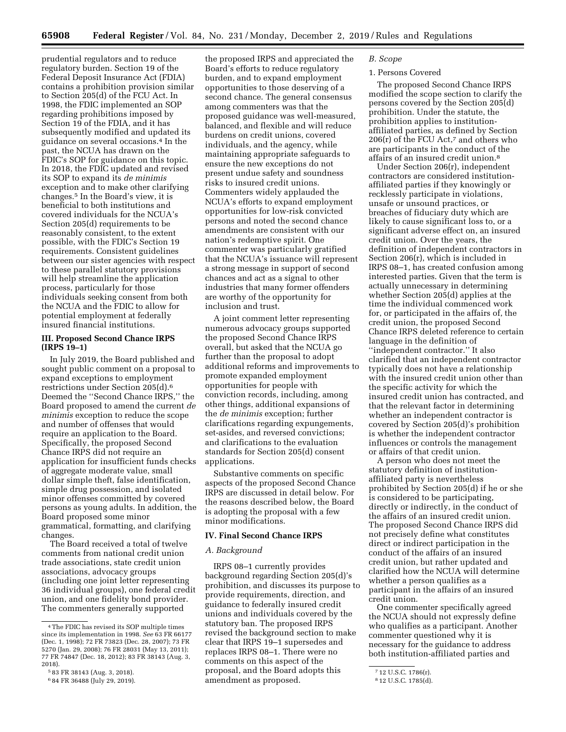prudential regulators and to reduce regulatory burden. Section 19 of the Federal Deposit Insurance Act (FDIA) contains a prohibition provision similar to Section 205(d) of the FCU Act. In 1998, the FDIC implemented an SOP regarding prohibitions imposed by Section 19 of the FDIA, and it has subsequently modified and updated its guidance on several occasions.4 In the past, the NCUA has drawn on the FDIC's SOP for guidance on this topic. In 2018, the FDIC updated and revised its SOP to expand its *de minimis*  exception and to make other clarifying changes.5 In the Board's view, it is beneficial to both institutions and covered individuals for the NCUA's Section 205(d) requirements to be reasonably consistent, to the extent possible, with the FDIC's Section 19 requirements. Consistent guidelines between our sister agencies with respect to these parallel statutory provisions will help streamline the application process, particularly for those individuals seeking consent from both the NCUA and the FDIC to allow for potential employment at federally insured financial institutions.

#### **III. Proposed Second Chance IRPS (IRPS 19–1)**

In July 2019, the Board published and sought public comment on a proposal to expand exceptions to employment restrictions under Section 205(d).6 Deemed the ''Second Chance IRPS,'' the Board proposed to amend the current *de minimis* exception to reduce the scope and number of offenses that would require an application to the Board. Specifically, the proposed Second Chance IRPS did not require an application for insufficient funds checks of aggregate moderate value, small dollar simple theft, false identification, simple drug possession, and isolated minor offenses committed by covered persons as young adults. In addition, the Board proposed some minor grammatical, formatting, and clarifying changes.

The Board received a total of twelve comments from national credit union trade associations, state credit union associations, advocacy groups (including one joint letter representing 36 individual groups), one federal credit union, and one fidelity bond provider. The commenters generally supported

the proposed IRPS and appreciated the Board's efforts to reduce regulatory burden, and to expand employment opportunities to those deserving of a second chance. The general consensus among commenters was that the proposed guidance was well-measured, balanced, and flexible and will reduce burdens on credit unions, covered individuals, and the agency, while maintaining appropriate safeguards to ensure the new exceptions do not present undue safety and soundness risks to insured credit unions. Commenters widely applauded the NCUA's efforts to expand employment opportunities for low-risk convicted persons and noted the second chance amendments are consistent with our nation's redemptive spirit. One commenter was particularly gratified that the NCUA's issuance will represent a strong message in support of second chances and act as a signal to other industries that many former offenders are worthy of the opportunity for inclusion and trust.

A joint comment letter representing numerous advocacy groups supported the proposed Second Chance IRPS overall, but asked that the NCUA go further than the proposal to adopt additional reforms and improvements to promote expanded employment opportunities for people with conviction records, including, among other things, additional expansions of the *de minimis* exception; further clarifications regarding expungements, set-asides, and reversed convictions; and clarifications to the evaluation standards for Section 205(d) consent applications.

Substantive comments on specific aspects of the proposed Second Chance IRPS are discussed in detail below. For the reasons described below, the Board is adopting the proposal with a few minor modifications.

#### **IV. Final Second Chance IRPS**

#### *A. Background*

IRPS 08–1 currently provides background regarding Section 205(d)'s prohibition, and discusses its purpose to provide requirements, direction, and guidance to federally insured credit unions and individuals covered by the statutory ban. The proposed IRPS revised the background section to make clear that IRPS 19–1 supersedes and replaces IRPS 08–1. There were no comments on this aspect of the proposal, and the Board adopts this amendment as proposed.

#### *B. Scope*

#### 1. Persons Covered

The proposed Second Chance IRPS modified the scope section to clarify the persons covered by the Section 205(d) prohibition. Under the statute, the prohibition applies to institutionaffiliated parties, as defined by Section 206(r) of the FCU Act,7 and others who are participants in the conduct of the affairs of an insured credit union.8

Under Section 206(r), independent contractors are considered institutionaffiliated parties if they knowingly or recklessly participate in violations, unsafe or unsound practices, or breaches of fiduciary duty which are likely to cause significant loss to, or a significant adverse effect on, an insured credit union. Over the years, the definition of independent contractors in Section 206(r), which is included in IRPS 08–1, has created confusion among interested parties. Given that the term is actually unnecessary in determining whether Section 205(d) applies at the time the individual commenced work for, or participated in the affairs of, the credit union, the proposed Second Chance IRPS deleted reference to certain language in the definition of ''independent contractor.'' It also clarified that an independent contractor typically does not have a relationship with the insured credit union other than the specific activity for which the insured credit union has contracted, and that the relevant factor in determining whether an independent contractor is covered by Section 205(d)'s prohibition is whether the independent contractor influences or controls the management or affairs of that credit union.

A person who does not meet the statutory definition of institutionaffiliated party is nevertheless prohibited by Section 205(d) if he or she is considered to be participating, directly or indirectly, in the conduct of the affairs of an insured credit union. The proposed Second Chance IRPS did not precisely define what constitutes direct or indirect participation in the conduct of the affairs of an insured credit union, but rather updated and clarified how the NCUA will determine whether a person qualifies as a participant in the affairs of an insured credit union.

One commenter specifically agreed the NCUA should not expressly define who qualifies as a participant. Another commenter questioned why it is necessary for the guidance to address both institution-affiliated parties and

<sup>4</sup>The FDIC has revised its SOP multiple times since its implementation in 1998. *See* 63 FR 66177 (Dec. 1, 1998); 72 FR 73823 (Dec. 28, 2007); 73 FR 5270 (Jan. 29, 2008); 76 FR 28031 (May 13, 2011); 77 FR 74847 (Dec. 18, 2012); 83 FR 38143 (Aug. 3, 2018).

<sup>5</sup> 83 FR 38143 (Aug. 3, 2018).

<sup>6</sup> 84 FR 36488 (July 29, 2019).

<sup>7</sup> 12 U.S.C. 1786(r).

<sup>8</sup> 12 U.S.C. 1785(d).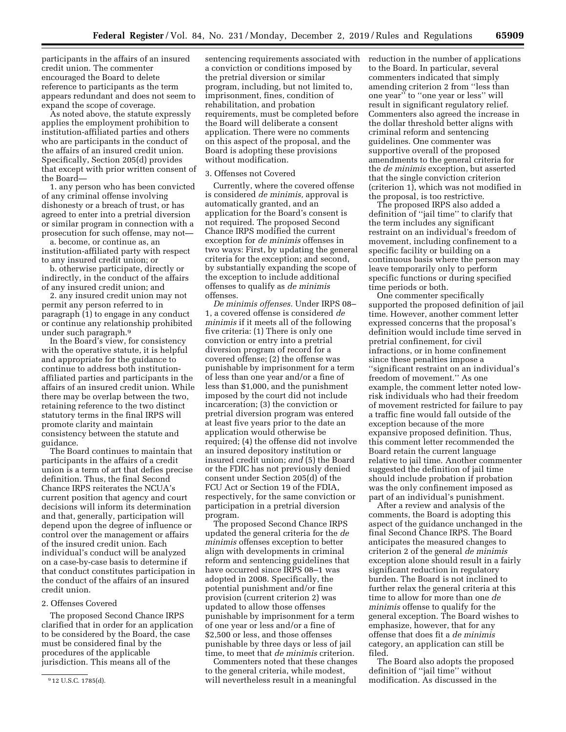participants in the affairs of an insured credit union. The commenter encouraged the Board to delete reference to participants as the term appears redundant and does not seem to expand the scope of coverage.

As noted above, the statute expressly applies the employment prohibition to institution-affiliated parties and others who are participants in the conduct of the affairs of an insured credit union. Specifically, Section 205(d) provides that except with prior written consent of the Board—

1. any person who has been convicted of any criminal offense involving dishonesty or a breach of trust, or has agreed to enter into a pretrial diversion or similar program in connection with a prosecution for such offense, may not—

a. become, or continue as, an institution-affiliated party with respect to any insured credit union; or

b. otherwise participate, directly or indirectly, in the conduct of the affairs of any insured credit union; and

2. any insured credit union may not permit any person referred to in paragraph (1) to engage in any conduct or continue any relationship prohibited under such paragraph.9

In the Board's view, for consistency with the operative statute, it is helpful and appropriate for the guidance to continue to address both institutionaffiliated parties and participants in the affairs of an insured credit union. While there may be overlap between the two, retaining reference to the two distinct statutory terms in the final IRPS will promote clarity and maintain consistency between the statute and guidance.

The Board continues to maintain that participants in the affairs of a credit union is a term of art that defies precise definition. Thus, the final Second Chance IRPS reiterates the NCUA's current position that agency and court decisions will inform its determination and that, generally, participation will depend upon the degree of influence or control over the management or affairs of the insured credit union. Each individual's conduct will be analyzed on a case-by-case basis to determine if that conduct constitutes participation in the conduct of the affairs of an insured credit union.

#### 2. Offenses Covered

The proposed Second Chance IRPS clarified that in order for an application to be considered by the Board, the case must be considered final by the procedures of the applicable jurisdiction. This means all of the

sentencing requirements associated with a conviction or conditions imposed by the pretrial diversion or similar program, including, but not limited to, imprisonment, fines, condition of rehabilitation, and probation requirements, must be completed before the Board will deliberate a consent application. There were no comments on this aspect of the proposal, and the Board is adopting these provisions without modification.

#### 3. Offenses not Covered

Currently, where the covered offense is considered *de minimis,* approval is automatically granted, and an application for the Board's consent is not required. The proposed Second Chance IRPS modified the current exception for *de minimis* offenses in two ways: First, by updating the general criteria for the exception; and second, by substantially expanding the scope of the exception to include additional offenses to qualify as *de minimis*  offenses.

*De minimis offenses.* Under IRPS 08– 1, a covered offense is considered *de minimis* if it meets all of the following five criteria: (1) There is only one conviction or entry into a pretrial diversion program of record for a covered offense; (2) the offense was punishable by imprisonment for a term of less than one year and/or a fine of less than \$1,000, and the punishment imposed by the court did not include incarceration; (3) the conviction or pretrial diversion program was entered at least five years prior to the date an application would otherwise be required; (4) the offense did not involve an insured depository institution or insured credit union; *and* (5) the Board or the FDIC has not previously denied consent under Section 205(d) of the FCU Act or Section 19 of the FDIA, respectively, for the same conviction or participation in a pretrial diversion program.

The proposed Second Chance IRPS updated the general criteria for the *de minimis* offenses exception to better align with developments in criminal reform and sentencing guidelines that have occurred since IRPS 08–1 was adopted in 2008. Specifically, the potential punishment and/or fine provision (current criterion 2) was updated to allow those offenses punishable by imprisonment for a term of one year or less and/or a fine of \$2,500 or less, and those offenses punishable by three days or less of jail time, to meet that *de minimis* criterion.

Commenters noted that these changes to the general criteria, while modest, will nevertheless result in a meaningful

reduction in the number of applications to the Board. In particular, several commenters indicated that simply amending criterion 2 from ''less than one year'' to ''one year or less'' will result in significant regulatory relief. Commenters also agreed the increase in the dollar threshold better aligns with criminal reform and sentencing guidelines. One commenter was supportive overall of the proposed amendments to the general criteria for the *de minimis* exception, but asserted that the single conviction criterion (criterion 1), which was not modified in the proposal, is too restrictive.

The proposed IRPS also added a definition of ''jail time'' to clarify that the term includes any significant restraint on an individual's freedom of movement, including confinement to a specific facility or building on a continuous basis where the person may leave temporarily only to perform specific functions or during specified time periods or both.

One commenter specifically supported the proposed definition of jail time. However, another comment letter expressed concerns that the proposal's definition would include time served in pretrial confinement, for civil infractions, or in home confinement since these penalties impose a ''significant restraint on an individual's freedom of movement.'' As one example, the comment letter noted lowrisk individuals who had their freedom of movement restricted for failure to pay a traffic fine would fall outside of the exception because of the more expansive proposed definition. Thus, this comment letter recommended the Board retain the current language relative to jail time. Another commenter suggested the definition of jail time should include probation if probation was the only confinement imposed as part of an individual's punishment.

After a review and analysis of the comments, the Board is adopting this aspect of the guidance unchanged in the final Second Chance IRPS. The Board anticipates the measured changes to criterion 2 of the general *de minimis*  exception alone should result in a fairly significant reduction in regulatory burden. The Board is not inclined to further relax the general criteria at this time to allow for more than one *de minimis* offense to qualify for the general exception. The Board wishes to emphasize, however, that for any offense that does fit a *de minimis*  category, an application can still be filed.

The Board also adopts the proposed definition of ''jail time'' without modification. As discussed in the

<sup>9</sup> 12 U.S.C. 1785(d).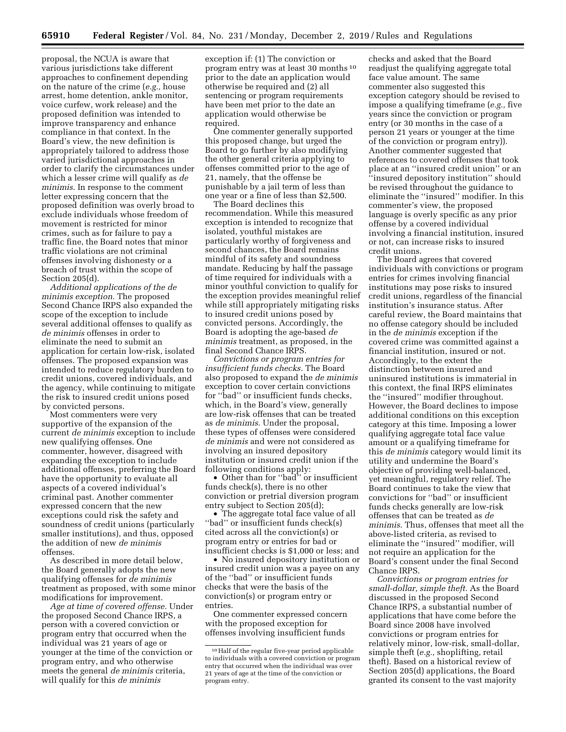proposal, the NCUA is aware that various jurisdictions take different approaches to confinement depending on the nature of the crime (*e.g.,* house arrest, home detention, ankle monitor, voice curfew, work release) and the proposed definition was intended to improve transparency and enhance compliance in that context. In the Board's view, the new definition is appropriately tailored to address those varied jurisdictional approaches in order to clarify the circumstances under which a lesser crime will qualify as *de minimis*. In response to the comment letter expressing concern that the proposed definition was overly broad to exclude individuals whose freedom of movement is restricted for minor crimes, such as for failure to pay a traffic fine, the Board notes that minor traffic violations are not criminal offenses involving dishonesty or a breach of trust within the scope of Section 205(d).

*Additional applications of the de minimis exception.* The proposed Second Chance IRPS also expanded the scope of the exception to include several additional offenses to qualify as *de minimis* offenses in order to eliminate the need to submit an application for certain low-risk, isolated offenses. The proposed expansion was intended to reduce regulatory burden to credit unions, covered individuals, and the agency, while continuing to mitigate the risk to insured credit unions posed by convicted persons.

Most commenters were very supportive of the expansion of the current *de minimis* exception to include new qualifying offenses. One commenter, however, disagreed with expanding the exception to include additional offenses, preferring the Board have the opportunity to evaluate all aspects of a covered individual's criminal past. Another commenter expressed concern that the new exceptions could risk the safety and soundness of credit unions (particularly smaller institutions), and thus, opposed the addition of new *de minimis*  offenses.

As described in more detail below, the Board generally adopts the new qualifying offenses for *de minimis*  treatment as proposed, with some minor modifications for improvement.

*Age at time of covered offense.* Under the proposed Second Chance IRPS, a person with a covered conviction or program entry that occurred when the individual was 21 years of age or younger at the time of the conviction or program entry, and who otherwise meets the general *de minimis* criteria, will qualify for this *de minimis* 

exception if: (1) The conviction or program entry was at least 30 months 10 prior to the date an application would otherwise be required and (2) all sentencing or program requirements have been met prior to the date an application would otherwise be required.

One commenter generally supported this proposed change, but urged the Board to go further by also modifying the other general criteria applying to offenses committed prior to the age of 21, namely, that the offense be punishable by a jail term of less than one year or a fine of less than \$2,500.

The Board declines this recommendation. While this measured exception is intended to recognize that isolated, youthful mistakes are particularly worthy of forgiveness and second chances, the Board remains mindful of its safety and soundness mandate. Reducing by half the passage of time required for individuals with a minor youthful conviction to qualify for the exception provides meaningful relief while still appropriately mitigating risks to insured credit unions posed by convicted persons. Accordingly, the Board is adopting the age-based *de minimis* treatment, as proposed, in the final Second Chance IRPS.

*Convictions or program entries for insufficient funds checks.* The Board also proposed to expand the *de minimis*  exception to cover certain convictions for ''bad'' or insufficient funds checks, which, in the Board's view, generally are low-risk offenses that can be treated as *de minimis*. Under the proposal, these types of offenses were considered *de minimis* and were not considered as involving an insured depository institution or insured credit union if the following conditions apply:

• Other than for ''bad'' or insufficient funds check(s), there is no other conviction or pretrial diversion program entry subject to Section 205(d);

• The aggregate total face value of all ''bad'' or insufficient funds check(s) cited across all the conviction(s) or program entry or entries for bad or insufficient checks is \$1,000 or less; and

• No insured depository institution or insured credit union was a payee on any of the ''bad'' or insufficient funds checks that were the basis of the conviction(s) or program entry or entries.

One commenter expressed concern with the proposed exception for offenses involving insufficient funds

checks and asked that the Board readjust the qualifying aggregate total face value amount. The same commenter also suggested this exception category should be revised to impose a qualifying timeframe (*e.g.,* five years since the conviction or program entry (or 30 months in the case of a person 21 years or younger at the time of the conviction or program entry)). Another commenter suggested that references to covered offenses that took place at an ''insured credit union'' or an ''insured depository institution'' should be revised throughout the guidance to eliminate the ''insured'' modifier. In this commenter's view, the proposed language is overly specific as any prior offense by a covered individual involving a financial institution, insured or not, can increase risks to insured credit unions.

The Board agrees that covered individuals with convictions or program entries for crimes involving financial institutions may pose risks to insured credit unions, regardless of the financial institution's insurance status. After careful review, the Board maintains that no offense category should be included in the *de minimis* exception if the covered crime was committed against a financial institution, insured or not. Accordingly, to the extent the distinction between insured and uninsured institutions is immaterial in this context, the final IRPS eliminates the ''insured'' modifier throughout. However, the Board declines to impose additional conditions on this exception category at this time. Imposing a lower qualifying aggregate total face value amount or a qualifying timeframe for this *de minimis* category would limit its utility and undermine the Board's objective of providing well-balanced, yet meaningful, regulatory relief. The Board continues to take the view that convictions for ''bad'' or insufficient funds checks generally are low-risk offenses that can be treated as *de minimis*. Thus, offenses that meet all the above-listed criteria, as revised to eliminate the ''insured'' modifier, will not require an application for the Board's consent under the final Second Chance IRPS.

*Convictions or program entries for small-dollar, simple theft.* As the Board discussed in the proposed Second Chance IRPS, a substantial number of applications that have come before the Board since 2008 have involved convictions or program entries for relatively minor, low-risk, small-dollar, simple theft (*e.g.,* shoplifting, retail theft). Based on a historical review of Section 205(d) applications, the Board granted its consent to the vast majority

<sup>10</sup>Half of the regular five-year period applicable to individuals with a covered conviction or program entry that occurred when the individual was over 21 years of age at the time of the conviction or program entry.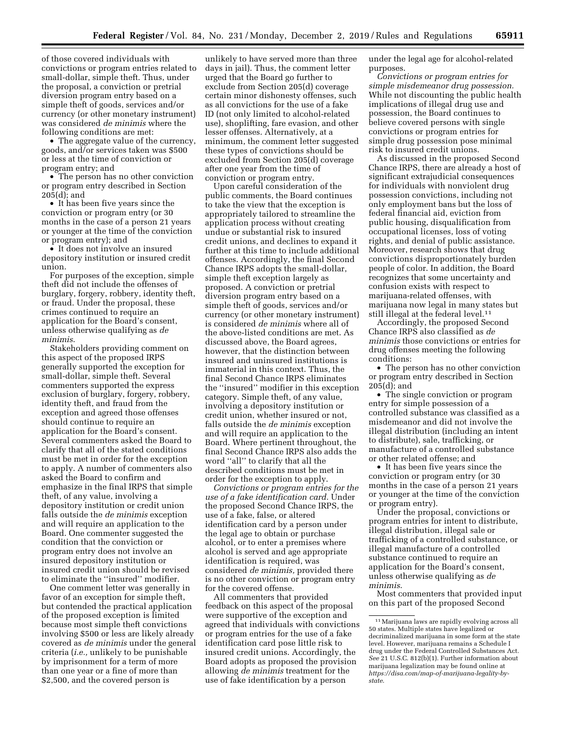of those covered individuals with convictions or program entries related to small-dollar, simple theft. Thus, under the proposal, a conviction or pretrial diversion program entry based on a simple theft of goods, services and/or currency (or other monetary instrument) was considered *de minimis* where the following conditions are met:

• The aggregate value of the currency, goods, and/or services taken was \$500 or less at the time of conviction or program entry; and

• The person has no other conviction or program entry described in Section 205(d); and

• It has been five years since the conviction or program entry (or 30 months in the case of a person 21 years or younger at the time of the conviction or program entry); and

• It does not involve an insured depository institution or insured credit union.

For purposes of the exception, simple theft did not include the offenses of burglary, forgery, robbery, identity theft, or fraud. Under the proposal, these crimes continued to require an application for the Board's consent, unless otherwise qualifying as *de minimis*.

Stakeholders providing comment on this aspect of the proposed IRPS generally supported the exception for small-dollar, simple theft. Several commenters supported the express exclusion of burglary, forgery, robbery, identity theft, and fraud from the exception and agreed those offenses should continue to require an application for the Board's consent. Several commenters asked the Board to clarify that all of the stated conditions must be met in order for the exception to apply. A number of commenters also asked the Board to confirm and emphasize in the final IRPS that simple theft, of any value, involving a depository institution or credit union falls outside the *de minimis* exception and will require an application to the Board. One commenter suggested the condition that the conviction or program entry does not involve an insured depository institution or insured credit union should be revised to eliminate the ''insured'' modifier.

One comment letter was generally in favor of an exception for simple theft, but contended the practical application of the proposed exception is limited because most simple theft convictions involving \$500 or less are likely already covered as *de minimis* under the general criteria (*i.e.,* unlikely to be punishable by imprisonment for a term of more than one year or a fine of more than \$2,500, and the covered person is

unlikely to have served more than three days in jail). Thus, the comment letter urged that the Board go further to exclude from Section 205(d) coverage certain minor dishonesty offenses, such as all convictions for the use of a fake ID (not only limited to alcohol-related use), shoplifting, fare evasion, and other lesser offenses. Alternatively, at a minimum, the comment letter suggested these types of convictions should be excluded from Section 205(d) coverage after one year from the time of conviction or program entry.

Upon careful consideration of the public comments, the Board continues to take the view that the exception is appropriately tailored to streamline the application process without creating undue or substantial risk to insured credit unions, and declines to expand it further at this time to include additional offenses. Accordingly, the final Second Chance IRPS adopts the small-dollar, simple theft exception largely as proposed. A conviction or pretrial diversion program entry based on a simple theft of goods, services and/or currency (or other monetary instrument) is considered *de minimis* where all of the above-listed conditions are met. As discussed above, the Board agrees, however, that the distinction between insured and uninsured institutions is immaterial in this context. Thus, the final Second Chance IRPS eliminates the ''insured'' modifier in this exception category. Simple theft, of any value, involving a depository institution or credit union, whether insured or not, falls outside the *de minimis* exception and will require an application to the Board. Where pertinent throughout, the final Second Chance IRPS also adds the word ''all'' to clarify that all the described conditions must be met in order for the exception to apply.

*Convictions or program entries for the use of a fake identification card.* Under the proposed Second Chance IRPS, the use of a fake, false, or altered identification card by a person under the legal age to obtain or purchase alcohol, or to enter a premises where alcohol is served and age appropriate identification is required, was considered *de minimis,* provided there is no other conviction or program entry for the covered offense.

All commenters that provided feedback on this aspect of the proposal were supportive of the exception and agreed that individuals with convictions or program entries for the use of a fake identification card pose little risk to insured credit unions. Accordingly, the Board adopts as proposed the provision allowing *de minimis* treatment for the use of fake identification by a person

under the legal age for alcohol-related purposes.

*Convictions or program entries for simple misdemeanor drug possession.*  While not discounting the public health implications of illegal drug use and possession, the Board continues to believe covered persons with single convictions or program entries for simple drug possession pose minimal risk to insured credit unions.

As discussed in the proposed Second Chance IRPS, there are already a host of significant extrajudicial consequences for individuals with nonviolent drug possession convictions, including not only employment bans but the loss of federal financial aid, eviction from public housing, disqualification from occupational licenses, loss of voting rights, and denial of public assistance. Moreover, research shows that drug convictions disproportionately burden people of color. In addition, the Board recognizes that some uncertainty and confusion exists with respect to marijuana-related offenses, with marijuana now legal in many states but still illegal at the federal level.<sup>11</sup>

Accordingly, the proposed Second Chance IRPS also classified as *de minimis* those convictions or entries for drug offenses meeting the following conditions:

• The person has no other conviction or program entry described in Section 205(d); and

• The single conviction or program entry for simple possession of a controlled substance was classified as a misdemeanor and did not involve the illegal distribution (including an intent to distribute), sale, trafficking, or manufacture of a controlled substance or other related offense; and

• It has been five years since the conviction or program entry (or 30 months in the case of a person 21 years or younger at the time of the conviction or program entry).

Under the proposal, convictions or program entries for intent to distribute, illegal distribution, illegal sale or trafficking of a controlled substance, or illegal manufacture of a controlled substance continued to require an application for the Board's consent, unless otherwise qualifying as *de minimis*.

Most commenters that provided input on this part of the proposed Second

<sup>11</sup>Marijuana laws are rapidly evolving across all 50 states. Multiple states have legalized or decriminalized marijuana in some form at the state level. However, marijuana remains a Schedule I drug under the Federal Controlled Substances Act. *See* 21 U.S.C. 812(b)(1). Further information about marijuana legalization may be found online at *[https://disa.com/map-of-marijuana-legality-by](https://disa.com/map-of-marijuana-legality-by-state)[state](https://disa.com/map-of-marijuana-legality-by-state)*.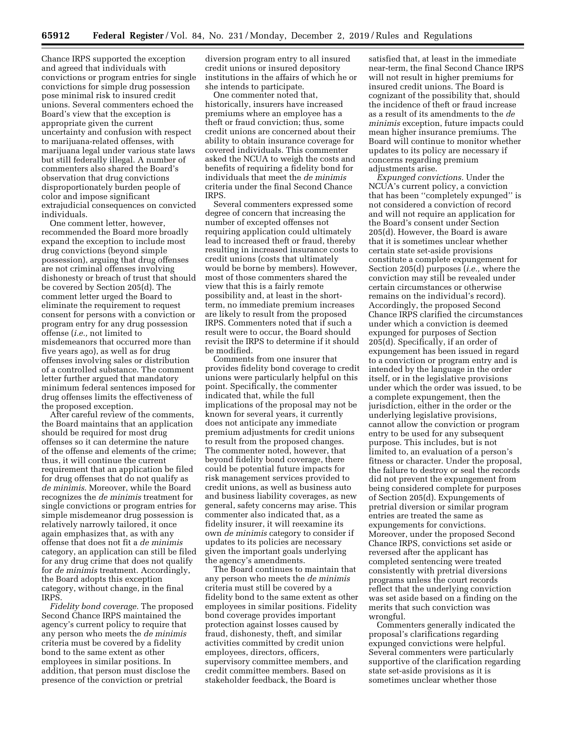Chance IRPS supported the exception and agreed that individuals with convictions or program entries for single convictions for simple drug possession pose minimal risk to insured credit unions. Several commenters echoed the Board's view that the exception is appropriate given the current uncertainty and confusion with respect to marijuana-related offenses, with marijuana legal under various state laws but still federally illegal. A number of commenters also shared the Board's observation that drug convictions disproportionately burden people of color and impose significant extrajudicial consequences on convicted individuals.

One comment letter, however, recommended the Board more broadly expand the exception to include most drug convictions (beyond simple possession), arguing that drug offenses are not criminal offenses involving dishonesty or breach of trust that should be covered by Section 205(d). The comment letter urged the Board to eliminate the requirement to request consent for persons with a conviction or program entry for any drug possession offense (*i.e.,* not limited to misdemeanors that occurred more than five years ago), as well as for drug offenses involving sales or distribution of a controlled substance. The comment letter further argued that mandatory minimum federal sentences imposed for drug offenses limits the effectiveness of the proposed exception.

After careful review of the comments, the Board maintains that an application should be required for most drug offenses so it can determine the nature of the offense and elements of the crime; thus, it will continue the current requirement that an application be filed for drug offenses that do not qualify as *de minimis*. Moreover, while the Board recognizes the *de minimis* treatment for single convictions or program entries for simple misdemeanor drug possession is relatively narrowly tailored, it once again emphasizes that, as with any offense that does not fit a *de minimis*  category, an application can still be filed for any drug crime that does not qualify for *de minimis* treatment. Accordingly, the Board adopts this exception category, without change, in the final IRPS.

*Fidelity bond coverage.* The proposed Second Chance IRPS maintained the agency's current policy to require that any person who meets the *de minimis*  criteria must be covered by a fidelity bond to the same extent as other employees in similar positions. In addition, that person must disclose the presence of the conviction or pretrial

diversion program entry to all insured credit unions or insured depository institutions in the affairs of which he or she intends to participate.

One commenter noted that, historically, insurers have increased premiums where an employee has a theft or fraud conviction; thus, some credit unions are concerned about their ability to obtain insurance coverage for covered individuals. This commenter asked the NCUA to weigh the costs and benefits of requiring a fidelity bond for individuals that meet the *de minimis*  criteria under the final Second Chance IRPS.

Several commenters expressed some degree of concern that increasing the number of excepted offenses not requiring application could ultimately lead to increased theft or fraud, thereby resulting in increased insurance costs to credit unions (costs that ultimately would be borne by members). However, most of those commenters shared the view that this is a fairly remote possibility and, at least in the shortterm, no immediate premium increases are likely to result from the proposed IRPS. Commenters noted that if such a result were to occur, the Board should revisit the IRPS to determine if it should be modified.

Comments from one insurer that provides fidelity bond coverage to credit unions were particularly helpful on this point. Specifically, the commenter indicated that, while the full implications of the proposal may not be known for several years, it currently does not anticipate any immediate premium adjustments for credit unions to result from the proposed changes. The commenter noted, however, that beyond fidelity bond coverage, there could be potential future impacts for risk management services provided to credit unions, as well as business auto and business liability coverages, as new general, safety concerns may arise. This commenter also indicated that, as a fidelity insurer, it will reexamine its own *de minimis* category to consider if updates to its policies are necessary given the important goals underlying the agency's amendments.

The Board continues to maintain that any person who meets the *de minimis*  criteria must still be covered by a fidelity bond to the same extent as other employees in similar positions. Fidelity bond coverage provides important protection against losses caused by fraud, dishonesty, theft, and similar activities committed by credit union employees, directors, officers, supervisory committee members, and credit committee members. Based on stakeholder feedback, the Board is

satisfied that, at least in the immediate near-term, the final Second Chance IRPS will not result in higher premiums for insured credit unions. The Board is cognizant of the possibility that, should the incidence of theft or fraud increase as a result of its amendments to the *de minimis* exception, future impacts could mean higher insurance premiums. The Board will continue to monitor whether updates to its policy are necessary if concerns regarding premium adjustments arise.

*Expunged convictions.* Under the NCUA's current policy, a conviction that has been ''completely expunged'' is not considered a conviction of record and will not require an application for the Board's consent under Section 205(d). However, the Board is aware that it is sometimes unclear whether certain state set-aside provisions constitute a complete expungement for Section 205(d) purposes (*i.e.,* where the conviction may still be revealed under certain circumstances or otherwise remains on the individual's record). Accordingly, the proposed Second Chance IRPS clarified the circumstances under which a conviction is deemed expunged for purposes of Section 205(d). Specifically, if an order of expungement has been issued in regard to a conviction or program entry and is intended by the language in the order itself, or in the legislative provisions under which the order was issued, to be a complete expungement, then the jurisdiction, either in the order or the underlying legislative provisions, cannot allow the conviction or program entry to be used for any subsequent purpose. This includes, but is not limited to, an evaluation of a person's fitness or character. Under the proposal, the failure to destroy or seal the records did not prevent the expungement from being considered complete for purposes of Section 205(d). Expungements of pretrial diversion or similar program entries are treated the same as expungements for convictions. Moreover, under the proposed Second Chance IRPS, convictions set aside or reversed after the applicant has completed sentencing were treated consistently with pretrial diversions programs unless the court records reflect that the underlying conviction was set aside based on a finding on the merits that such conviction was wrongful.

Commenters generally indicated the proposal's clarifications regarding expunged convictions were helpful. Several commenters were particularly supportive of the clarification regarding state set-aside provisions as it is sometimes unclear whether those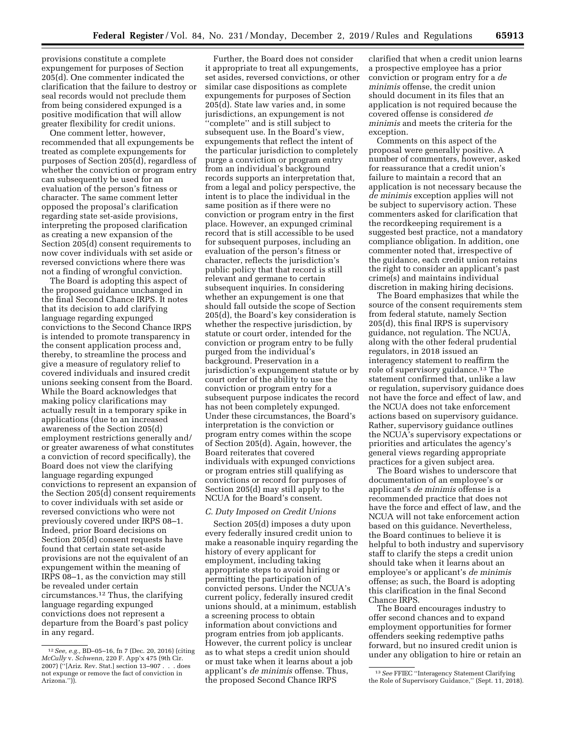provisions constitute a complete expungement for purposes of Section 205(d). One commenter indicated the clarification that the failure to destroy or seal records would not preclude them from being considered expunged is a positive modification that will allow greater flexibility for credit unions.

One comment letter, however, recommended that all expungements be treated as complete expungements for purposes of Section 205(d), regardless of whether the conviction or program entry can subsequently be used for an evaluation of the person's fitness or character. The same comment letter opposed the proposal's clarification regarding state set-aside provisions, interpreting the proposed clarification as creating a new expansion of the Section 205(d) consent requirements to now cover individuals with set aside or reversed convictions where there was not a finding of wrongful conviction.

The Board is adopting this aspect of the proposed guidance unchanged in the final Second Chance IRPS. It notes that its decision to add clarifying language regarding expunged convictions to the Second Chance IRPS is intended to promote transparency in the consent application process and, thereby, to streamline the process and give a measure of regulatory relief to covered individuals and insured credit unions seeking consent from the Board. While the Board acknowledges that making policy clarifications may actually result in a temporary spike in applications (due to an increased awareness of the Section 205(d) employment restrictions generally and/ or greater awareness of what constitutes a conviction of record specifically), the Board does not view the clarifying language regarding expunged convictions to represent an expansion of the Section 205(d) consent requirements to cover individuals with set aside or reversed convictions who were not previously covered under IRPS 08–1. Indeed, prior Board decisions on Section 205(d) consent requests have found that certain state set-aside provisions are not the equivalent of an expungement within the meaning of IRPS 08–1, as the conviction may still be revealed under certain circumstances.12 Thus, the clarifying language regarding expunged convictions does not represent a departure from the Board's past policy in any regard.

Further, the Board does not consider it appropriate to treat all expungements, set asides, reversed convictions, or other similar case dispositions as complete expungements for purposes of Section 205(d). State law varies and, in some jurisdictions, an expungement is not ''complete'' and is still subject to subsequent use. In the Board's view, expungements that reflect the intent of the particular jurisdiction to completely purge a conviction or program entry from an individual's background records supports an interpretation that, from a legal and policy perspective, the intent is to place the individual in the same position as if there were no conviction or program entry in the first place. However, an expunged criminal record that is still accessible to be used for subsequent purposes, including an evaluation of the person's fitness or character, reflects the jurisdiction's public policy that that record is still relevant and germane to certain subsequent inquiries. In considering whether an expungement is one that should fall outside the scope of Section 205(d), the Board's key consideration is whether the respective jurisdiction, by statute or court order, intended for the conviction or program entry to be fully purged from the individual's background. Preservation in a jurisdiction's expungement statute or by court order of the ability to use the conviction or program entry for a subsequent purpose indicates the record has not been completely expunged. Under these circumstances, the Board's interpretation is the conviction or program entry comes within the scope of Section 205(d). Again, however, the Board reiterates that covered individuals with expunged convictions or program entries still qualifying as convictions or record for purposes of Section 205(d) may still apply to the NCUA for the Board's consent.

#### *C. Duty Imposed on Credit Unions*

Section 205(d) imposes a duty upon every federally insured credit union to make a reasonable inquiry regarding the history of every applicant for employment, including taking appropriate steps to avoid hiring or permitting the participation of convicted persons. Under the NCUA's current policy, federally insured credit unions should, at a minimum, establish a screening process to obtain information about convictions and program entries from job applicants. However, the current policy is unclear as to what steps a credit union should or must take when it learns about a job applicant's *de minimis* offense. Thus, the proposed Second Chance IRPS

clarified that when a credit union learns a prospective employee has a prior conviction or program entry for a *de minimis* offense, the credit union should document in its files that an application is not required because the covered offense is considered *de minimis* and meets the criteria for the exception.

Comments on this aspect of the proposal were generally positive. A number of commenters, however, asked for reassurance that a credit union's failure to maintain a record that an application is not necessary because the *de minimis* exception applies will not be subject to supervisory action. These commenters asked for clarification that the recordkeeping requirement is a suggested best practice, not a mandatory compliance obligation. In addition, one commenter noted that, irrespective of the guidance, each credit union retains the right to consider an applicant's past crime(s) and maintains individual discretion in making hiring decisions.

The Board emphasizes that while the source of the consent requirements stem from federal statute, namely Section 205(d), this final IRPS is supervisory guidance, not regulation. The NCUA, along with the other federal prudential regulators, in 2018 issued an interagency statement to reaffirm the role of supervisory guidance.13 The statement confirmed that, unlike a law or regulation, supervisory guidance does not have the force and effect of law, and the NCUA does not take enforcement actions based on supervisory guidance. Rather, supervisory guidance outlines the NCUA's supervisory expectations or priorities and articulates the agency's general views regarding appropriate practices for a given subject area.

The Board wishes to underscore that documentation of an employee's or applicant's *de minimis* offense is a recommended practice that does not have the force and effect of law, and the NCUA will not take enforcement action based on this guidance. Nevertheless, the Board continues to believe it is helpful to both industry and supervisory staff to clarify the steps a credit union should take when it learns about an employee's or applicant's *de minimis*  offense; as such, the Board is adopting this clarification in the final Second Chance IRPS.

The Board encourages industry to offer second chances and to expand employment opportunities for former offenders seeking redemptive paths forward, but no insured credit union is under any obligation to hire or retain an

<sup>12</sup>*See, e.g.,* BD–05–16, fn 7 (Dec. 20, 2016) (citing *McCully* v. *Schwenn,* 220 F. App'x 475 (9th Cir. 2007) (''[Ariz. Rev. Stat.] section 13–907 . . . does not expunge or remove the fact of conviction in Arizona.'')).

<sup>13</sup>*See* FFIEC ''Interagency Statement Clarifying the Role of Supervisory Guidance,'' (Sept. 11, 2018).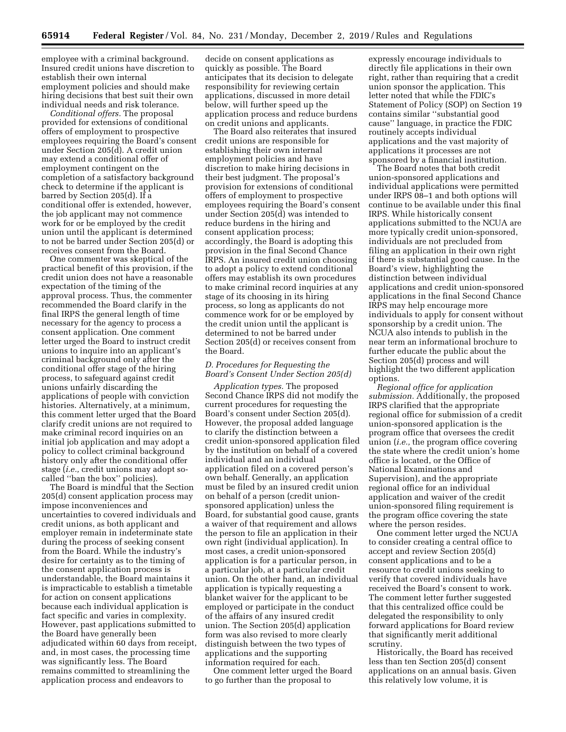employee with a criminal background. Insured credit unions have discretion to establish their own internal employment policies and should make hiring decisions that best suit their own individual needs and risk tolerance.

*Conditional offers.* The proposal provided for extensions of conditional offers of employment to prospective employees requiring the Board's consent under Section 205(d). A credit union may extend a conditional offer of employment contingent on the completion of a satisfactory background check to determine if the applicant is barred by Section 205(d). If a conditional offer is extended, however, the job applicant may not commence work for or be employed by the credit union until the applicant is determined to not be barred under Section 205(d) or receives consent from the Board.

One commenter was skeptical of the practical benefit of this provision, if the credit union does not have a reasonable expectation of the timing of the approval process. Thus, the commenter recommended the Board clarify in the final IRPS the general length of time necessary for the agency to process a consent application. One comment letter urged the Board to instruct credit unions to inquire into an applicant's criminal background only after the conditional offer stage of the hiring process, to safeguard against credit unions unfairly discarding the applications of people with conviction histories. Alternatively, at a minimum, this comment letter urged that the Board clarify credit unions are not required to make criminal record inquiries on an initial job application and may adopt a policy to collect criminal background history only after the conditional offer stage (*i.e.,* credit unions may adopt socalled ''ban the box'' policies).

The Board is mindful that the Section 205(d) consent application process may impose inconveniences and uncertainties to covered individuals and credit unions, as both applicant and employer remain in indeterminate state during the process of seeking consent from the Board. While the industry's desire for certainty as to the timing of the consent application process is understandable, the Board maintains it is impracticable to establish a timetable for action on consent applications because each individual application is fact specific and varies in complexity. However, past applications submitted to the Board have generally been adjudicated within 60 days from receipt, and, in most cases, the processing time was significantly less. The Board remains committed to streamlining the application process and endeavors to

decide on consent applications as quickly as possible. The Board anticipates that its decision to delegate responsibility for reviewing certain applications, discussed in more detail below, will further speed up the application process and reduce burdens on credit unions and applicants.

The Board also reiterates that insured credit unions are responsible for establishing their own internal employment policies and have discretion to make hiring decisions in their best judgment. The proposal's provision for extensions of conditional offers of employment to prospective employees requiring the Board's consent under Section 205(d) was intended to reduce burdens in the hiring and consent application process; accordingly, the Board is adopting this provision in the final Second Chance IRPS. An insured credit union choosing to adopt a policy to extend conditional offers may establish its own procedures to make criminal record inquiries at any stage of its choosing in its hiring process, so long as applicants do not commence work for or be employed by the credit union until the applicant is determined to not be barred under Section 205(d) or receives consent from the Board.

### *D. Procedures for Requesting the Board's Consent Under Section 205(d)*

*Application types.* The proposed Second Chance IRPS did not modify the current procedures for requesting the Board's consent under Section 205(d). However, the proposal added language to clarify the distinction between a credit union-sponsored application filed by the institution on behalf of a covered individual and an individual application filed on a covered person's own behalf. Generally, an application must be filed by an insured credit union on behalf of a person (credit unionsponsored application) unless the Board, for substantial good cause, grants a waiver of that requirement and allows the person to file an application in their own right (individual application). In most cases, a credit union-sponsored application is for a particular person, in a particular job, at a particular credit union. On the other hand, an individual application is typically requesting a blanket waiver for the applicant to be employed or participate in the conduct of the affairs of any insured credit union. The Section 205(d) application form was also revised to more clearly distinguish between the two types of applications and the supporting information required for each.

One comment letter urged the Board to go further than the proposal to

expressly encourage individuals to directly file applications in their own right, rather than requiring that a credit union sponsor the application. This letter noted that while the FDIC's Statement of Policy (SOP) on Section 19 contains similar ''substantial good cause'' language, in practice the FDIC routinely accepts individual applications and the vast majority of applications it processes are not sponsored by a financial institution.

The Board notes that both credit union-sponsored applications and individual applications were permitted under IRPS 08–1 and both options will continue to be available under this final IRPS. While historically consent applications submitted to the NCUA are more typically credit union-sponsored, individuals are not precluded from filing an application in their own right if there is substantial good cause. In the Board's view, highlighting the distinction between individual applications and credit union-sponsored applications in the final Second Chance IRPS may help encourage more individuals to apply for consent without sponsorship by a credit union. The NCUA also intends to publish in the near term an informational brochure to further educate the public about the Section 205(d) process and will highlight the two different application options.

*Regional office for application submission.* Additionally, the proposed IRPS clarified that the appropriate regional office for submission of a credit union-sponsored application is the program office that oversees the credit union (*i.e.,* the program office covering the state where the credit union's home office is located, or the Office of National Examinations and Supervision), and the appropriate regional office for an individual application and waiver of the credit union-sponsored filing requirement is the program office covering the state where the person resides.

One comment letter urged the NCUA to consider creating a central office to accept and review Section 205(d) consent applications and to be a resource to credit unions seeking to verify that covered individuals have received the Board's consent to work. The comment letter further suggested that this centralized office could be delegated the responsibility to only forward applications for Board review that significantly merit additional scrutiny.

Historically, the Board has received less than ten Section 205(d) consent applications on an annual basis. Given this relatively low volume, it is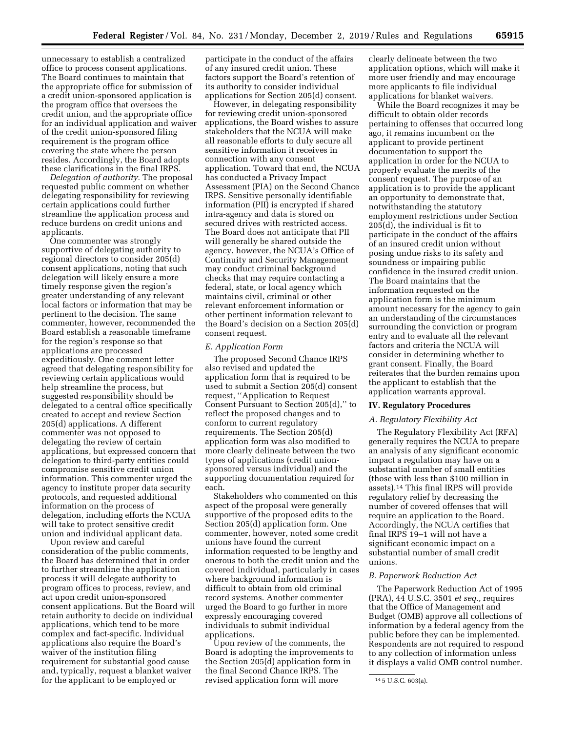unnecessary to establish a centralized office to process consent applications. The Board continues to maintain that the appropriate office for submission of a credit union-sponsored application is the program office that oversees the credit union, and the appropriate office for an individual application and waiver of the credit union-sponsored filing requirement is the program office covering the state where the person resides. Accordingly, the Board adopts these clarifications in the final IRPS.

*Delegation of authority.* The proposal requested public comment on whether delegating responsibility for reviewing certain applications could further streamline the application process and reduce burdens on credit unions and applicants.

One commenter was strongly supportive of delegating authority to regional directors to consider 205(d) consent applications, noting that such delegation will likely ensure a more timely response given the region's greater understanding of any relevant local factors or information that may be pertinent to the decision. The same commenter, however, recommended the Board establish a reasonable timeframe for the region's response so that applications are processed expeditiously. One comment letter agreed that delegating responsibility for reviewing certain applications would help streamline the process, but suggested responsibility should be delegated to a central office specifically created to accept and review Section 205(d) applications. A different commenter was not opposed to delegating the review of certain applications, but expressed concern that delegation to third-party entities could compromise sensitive credit union information. This commenter urged the agency to institute proper data security protocols, and requested additional information on the process of delegation, including efforts the NCUA will take to protect sensitive credit union and individual applicant data.

Upon review and careful consideration of the public comments, the Board has determined that in order to further streamline the application process it will delegate authority to program offices to process, review, and act upon credit union-sponsored consent applications. But the Board will retain authority to decide on individual applications, which tend to be more complex and fact-specific. Individual applications also require the Board's waiver of the institution filing requirement for substantial good cause and, typically, request a blanket waiver for the applicant to be employed or

participate in the conduct of the affairs of any insured credit union. These factors support the Board's retention of its authority to consider individual applications for Section 205(d) consent.

However, in delegating responsibility for reviewing credit union-sponsored applications, the Board wishes to assure stakeholders that the NCUA will make all reasonable efforts to duly secure all sensitive information it receives in connection with any consent application. Toward that end, the NCUA has conducted a Privacy Impact Assessment (PIA) on the Second Chance IRPS. Sensitive personally identifiable information (PII) is encrypted if shared intra-agency and data is stored on secured drives with restricted access. The Board does not anticipate that PII will generally be shared outside the agency, however, the NCUA's Office of Continuity and Security Management may conduct criminal background checks that may require contacting a federal, state, or local agency which maintains civil, criminal or other relevant enforcement information or other pertinent information relevant to the Board's decision on a Section 205(d) consent request.

#### *E. Application Form*

The proposed Second Chance IRPS also revised and updated the application form that is required to be used to submit a Section 205(d) consent request, ''Application to Request Consent Pursuant to Section 205(d),'' to reflect the proposed changes and to conform to current regulatory requirements. The Section 205(d) application form was also modified to more clearly delineate between the two types of applications (credit unionsponsored versus individual) and the supporting documentation required for each.

Stakeholders who commented on this aspect of the proposal were generally supportive of the proposed edits to the Section 205(d) application form. One commenter, however, noted some credit unions have found the current information requested to be lengthy and onerous to both the credit union and the covered individual, particularly in cases where background information is difficult to obtain from old criminal record systems. Another commenter urged the Board to go further in more expressly encouraging covered individuals to submit individual applications.

Upon review of the comments, the Board is adopting the improvements to the Section 205(d) application form in the final Second Chance IRPS. The revised application form will more

clearly delineate between the two application options, which will make it more user friendly and may encourage more applicants to file individual applications for blanket waivers.

While the Board recognizes it may be difficult to obtain older records pertaining to offenses that occurred long ago, it remains incumbent on the applicant to provide pertinent documentation to support the application in order for the NCUA to properly evaluate the merits of the consent request. The purpose of an application is to provide the applicant an opportunity to demonstrate that, notwithstanding the statutory employment restrictions under Section 205(d), the individual is fit to participate in the conduct of the affairs of an insured credit union without posing undue risks to its safety and soundness or impairing public confidence in the insured credit union. The Board maintains that the information requested on the application form is the minimum amount necessary for the agency to gain an understanding of the circumstances surrounding the conviction or program entry and to evaluate all the relevant factors and criteria the NCUA will consider in determining whether to grant consent. Finally, the Board reiterates that the burden remains upon the applicant to establish that the application warrants approval.

#### **IV. Regulatory Procedures**

#### *A. Regulatory Flexibility Act*

The Regulatory Flexibility Act (RFA) generally requires the NCUA to prepare an analysis of any significant economic impact a regulation may have on a substantial number of small entities (those with less than \$100 million in assets).14 This final IRPS will provide regulatory relief by decreasing the number of covered offenses that will require an application to the Board. Accordingly, the NCUA certifies that final IRPS 19–1 will not have a significant economic impact on a substantial number of small credit unions.

#### *B. Paperwork Reduction Act*

The Paperwork Reduction Act of 1995 (PRA), 44 U.S.C. 3501 *et seq.,* requires that the Office of Management and Budget (OMB) approve all collections of information by a federal agency from the public before they can be implemented. Respondents are not required to respond to any collection of information unless it displays a valid OMB control number.

<sup>14</sup> 5 U.S.C. 603(a).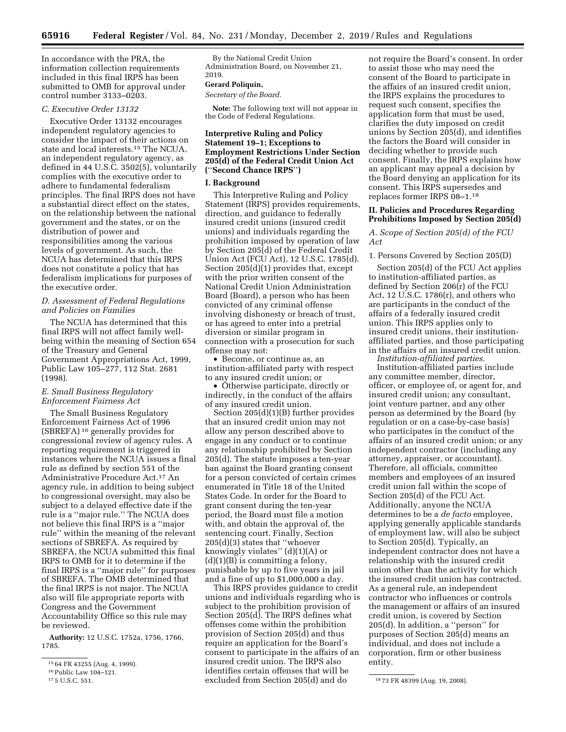In accordance with the PRA, the information collection requirements included in this final IRPS has been submitted to OMB for approval under  $control number 3133 - 0203.$ 

#### *C. Executive Order 13132*

Executive Order 13132 encourages independent regulatory agencies to consider the impact of their actions on state and local interests.15 The NCUA, an independent regulatory agency, as defined in 44 U.S.C. 3502(5), voluntarily complies with the executive order to adhere to fundamental federalism principles. The final IRPS does not have a substantial direct effect on the states, on the relationship between the national government and the states, or on the distribution of power and responsibilities among the various levels of government. As such, the NCUA has determined that this IRPS does not constitute a policy that has federalism implications for purposes of the executive order.

### *D. Assessment of Federal Regulations and Policies on Families*

The NCUA has determined that this final IRPS will not affect family wellbeing within the meaning of Section 654 of the Treasury and General Government Appropriations Act, 1999, Public Law 105–277, 112 Stat. 2681 (1998).

#### *E. Small Business Regulatory Enforcement Fairness Act*

The Small Business Regulatory Enforcement Fairness Act of 1996 (SBREFA) 16 generally provides for congressional review of agency rules. A reporting requirement is triggered in instances where the NCUA issues a final rule as defined by section 551 of the Administrative Procedure Act.17 An agency rule, in addition to being subject to congressional oversight, may also be subject to a delayed effective date if the rule is a ''major rule.'' The NCUA does not believe this final IRPS is a ''major rule'' within the meaning of the relevant sections of SBREFA. As required by SBREFA, the NCUA submitted this final IRPS to OMB for it to determine if the final IRPS is a ''major rule'' for purposes of SBREFA. The OMB determined that the final IRPS is not major. The NCUA also will file appropriate reports with Congress and the Government Accountability Office so this rule may be reviewed.

**Authority:** 12 U.S.C. 1752a, 1756, 1766, 1785.

By the National Credit Union Administration Board, on November 21, 2019.

#### **Gerard Poliquin,**

*Secretary of the Board.* 

**Note:** The following text will not appear in the Code of Federal Regulations.

#### **Interpretive Ruling and Policy Statement 19–1; Exceptions to Employment Restrictions Under Section 205(d) of the Federal Credit Union Act (**''**Second Chance IRPS**''**)**

#### **I. Background**

This Interpretive Ruling and Policy Statement (IRPS) provides requirements, direction, and guidance to federally insured credit unions (insured credit unions) and individuals regarding the prohibition imposed by operation of law by Section 205(d) of the Federal Credit Union Act (FCU Act), 12 U.S.C. 1785(d). Section 205(d)(1) provides that, except with the prior written consent of the National Credit Union Administration Board (Board), a person who has been convicted of any criminal offense involving dishonesty or breach of trust, or has agreed to enter into a pretrial diversion or similar program in connection with a prosecution for such offense may not:

• Become, or continue as, an institution-affiliated party with respect to any insured credit union; or

• Otherwise participate, directly or indirectly, in the conduct of the affairs of any insured credit union.

Section 205(d)(1)(B) further provides that an insured credit union may not allow any person described above to engage in any conduct or to continue any relationship prohibited by Section 205(d). The statute imposes a ten-year ban against the Board granting consent for a person convicted of certain crimes enumerated in Title 18 of the United States Code. In order for the Board to grant consent during the ten-year period, the Board must file a motion with, and obtain the approval of, the sentencing court. Finally, Section 205(d)(3) states that ''whoever knowingly violates'' (d)(1)(A) or  $(d)(1)(B)$  is committing a felony, punishable by up to five years in jail and a fine of up to \$1,000,000 a day.

17 5 U.S.C. 551. 18 73 FR 48399 (Aug. 19, 2008). excluded from Section 205(d) and do This IRPS provides guidance to credit unions and individuals regarding who is subject to the prohibition provision of Section 205(d). The IRPS defines what offenses come within the prohibition provision of Section 205(d) and thus require an application for the Board's consent to participate in the affairs of an insured credit union. The IRPS also identifies certain offenses that will be

not require the Board's consent. In order to assist those who may need the consent of the Board to participate in the affairs of an insured credit union, the IRPS explains the procedures to request such consent, specifies the application form that must be used, clarifies the duty imposed on credit unions by Section 205(d), and identifies the factors the Board will consider in deciding whether to provide such consent. Finally, the IRPS explains how an applicant may appeal a decision by the Board denying an application for its consent. This IRPS supersedes and replaces former IRPS 08–1.18

#### **II. Policies and Procedures Regarding Prohibitions Imposed by Section 205(d)**

*A. Scope of Section 205(d) of the FCU Act* 

#### 1. Persons Covered by Section 205(D)

Section 205(d) of the FCU Act applies to institution-affiliated parties, as defined by Section 206(r) of the FCU Act, 12 U.S.C. 1786(r), and others who are participants in the conduct of the affairs of a federally insured credit union. This IRPS applies only to insured credit unions, their institutionaffiliated parties, and those participating in the affairs of an insured credit union. *Institution-affiliated parties.* 

Institution-affiliated parties include any committee member, director, officer, or employee of, or agent for, and insured credit union; any consultant, joint venture partner, and any other person as determined by the Board (by regulation or on a case-by-case basis) who participates in the conduct of the affairs of an insured credit union; or any independent contractor (including any attorney, appraiser, or accountant). Therefore, all officials, committee members and employees of an insured credit union fall within the scope of Section 205(d) of the FCU Act. Additionally, anyone the NCUA determines to be a *de facto* employee, applying generally applicable standards of employment law, will also be subject to Section 205(d). Typically, an independent contractor does not have a relationship with the insured credit union other than the activity for which the insured credit union has contracted. As a general rule, an independent contractor who influences or controls the management or affairs of an insured credit union, is covered by Section 205(d). In addition, a ''person'' for purposes of Section 205(d) means an individual, and does not include a corporation, firm or other business entity.

<sup>15</sup> 64 FR 43255 (Aug. 4, 1999).

<sup>&</sup>lt;sup>16</sup> Public Law 104–121.<br><sup>17</sup> 5 U.S.C. 551.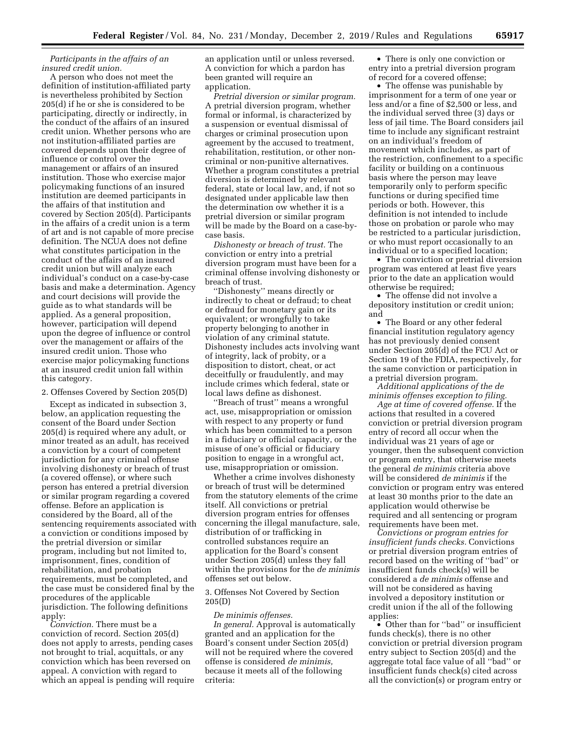#### *Participants in the affairs of an insured credit union.*

A person who does not meet the definition of institution-affiliated party is nevertheless prohibited by Section 205(d) if he or she is considered to be participating, directly or indirectly, in the conduct of the affairs of an insured credit union. Whether persons who are not institution-affiliated parties are covered depends upon their degree of influence or control over the management or affairs of an insured institution. Those who exercise major policymaking functions of an insured institution are deemed participants in the affairs of that institution and covered by Section 205(d). Participants in the affairs of a credit union is a term of art and is not capable of more precise definition. The NCUA does not define what constitutes participation in the conduct of the affairs of an insured credit union but will analyze each individual's conduct on a case-by-case basis and make a determination. Agency and court decisions will provide the guide as to what standards will be applied. As a general proposition, however, participation will depend upon the degree of influence or control over the management or affairs of the insured credit union. Those who exercise major policymaking functions at an insured credit union fall within this category.

#### 2. Offenses Covered by Section 205(D)

Except as indicated in subsection 3, below, an application requesting the consent of the Board under Section 205(d) is required where any adult, or minor treated as an adult, has received a conviction by a court of competent jurisdiction for any criminal offense involving dishonesty or breach of trust (a covered offense), or where such person has entered a pretrial diversion or similar program regarding a covered offense. Before an application is considered by the Board, all of the sentencing requirements associated with a conviction or conditions imposed by the pretrial diversion or similar program, including but not limited to, imprisonment, fines, condition of rehabilitation, and probation requirements, must be completed, and the case must be considered final by the procedures of the applicable jurisdiction. The following definitions apply:

*Conviction.* There must be a conviction of record. Section 205(d) does not apply to arrests, pending cases not brought to trial, acquittals, or any conviction which has been reversed on appeal. A conviction with regard to which an appeal is pending will require

an application until or unless reversed. A conviction for which a pardon has been granted will require an application.

*Pretrial diversion or similar program.*  A pretrial diversion program, whether formal or informal, is characterized by a suspension or eventual dismissal of charges or criminal prosecution upon agreement by the accused to treatment, rehabilitation, restitution, or other noncriminal or non-punitive alternatives. Whether a program constitutes a pretrial diversion is determined by relevant federal, state or local law, and, if not so designated under applicable law then the determination ow whether it is a pretrial diversion or similar program will be made by the Board on a case-bycase basis.

*Dishonesty or breach of trust.* The conviction or entry into a pretrial diversion program must have been for a criminal offense involving dishonesty or breach of trust.

'Dishonesty'' means directly or indirectly to cheat or defraud; to cheat or defraud for monetary gain or its equivalent; or wrongfully to take property belonging to another in violation of any criminal statute. Dishonesty includes acts involving want of integrity, lack of probity, or a disposition to distort, cheat, or act deceitfully or fraudulently, and may include crimes which federal, state or local laws define as dishonest.

''Breach of trust'' means a wrongful act, use, misappropriation or omission with respect to any property or fund which has been committed to a person in a fiduciary or official capacity, or the misuse of one's official or fiduciary position to engage in a wrongful act, use, misappropriation or omission.

Whether a crime involves dishonesty or breach of trust will be determined from the statutory elements of the crime itself. All convictions or pretrial diversion program entries for offenses concerning the illegal manufacture, sale, distribution of or trafficking in controlled substances require an application for the Board's consent under Section 205(d) unless they fall within the provisions for the *de minimis*  offenses set out below.

#### 3. Offenses Not Covered by Section 205(D)

#### *De minimis offenses.*

*In general.* Approval is automatically granted and an application for the Board's consent under Section 205(d) will not be required where the covered offense is considered *de minimis,*  because it meets all of the following criteria:

• There is only one conviction or entry into a pretrial diversion program of record for a covered offense;

• The offense was punishable by imprisonment for a term of one year or less and/or a fine of \$2,500 or less, and the individual served three (3) days or less of jail time. The Board considers jail time to include any significant restraint on an individual's freedom of movement which includes, as part of the restriction, confinement to a specific facility or building on a continuous basis where the person may leave temporarily only to perform specific functions or during specified time periods or both. However, this definition is not intended to include those on probation or parole who may be restricted to a particular jurisdiction, or who must report occasionally to an individual or to a specified location;

• The conviction or pretrial diversion program was entered at least five years prior to the date an application would otherwise be required;

• The offense did not involve a depository institution or credit union; and

• The Board or any other federal financial institution regulatory agency has not previously denied consent under Section 205(d) of the FCU Act or Section 19 of the FDIA, respectively, for the same conviction or participation in a pretrial diversion program.

*Additional applications of the de minimis offenses exception to filing.* 

*Age at time of covered offense.* If the actions that resulted in a covered conviction or pretrial diversion program entry of record all occur when the individual was 21 years of age or younger, then the subsequent conviction or program entry, that otherwise meets the general *de minimis* criteria above will be considered *de minimis* if the conviction or program entry was entered at least 30 months prior to the date an application would otherwise be required and all sentencing or program requirements have been met.

*Convictions or program entries for insufficient funds checks.* Convictions or pretrial diversion program entries of record based on the writing of ''bad'' or insufficient funds check(s) will be considered a *de minimis* offense and will not be considered as having involved a depository institution or credit union if the all of the following applies:

• Other than for ''bad'' or insufficient funds check(s), there is no other conviction or pretrial diversion program entry subject to Section 205(d) and the aggregate total face value of all ''bad'' or insufficient funds check(s) cited across all the conviction(s) or program entry or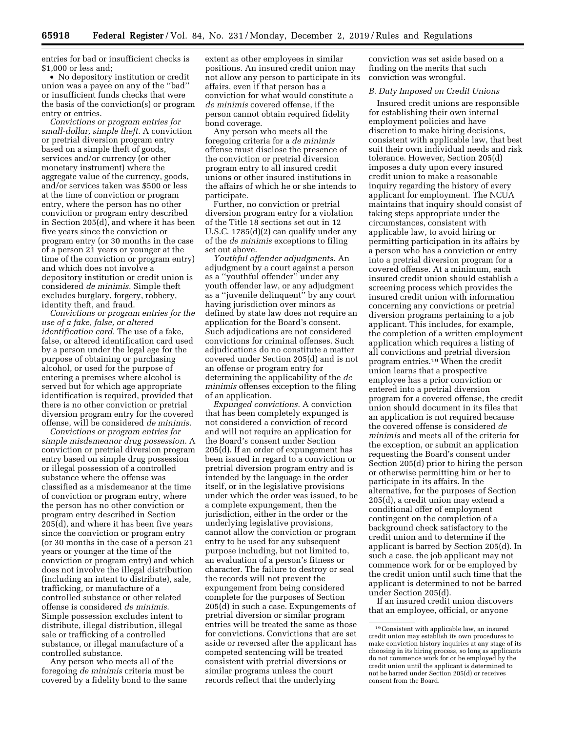entries for bad or insufficient checks is \$1,000 or less and;

• No depository institution or credit union was a payee on any of the ''bad'' or insufficient funds checks that were the basis of the conviction(s) or program entry or entries.

*Convictions or program entries for small-dollar, simple theft.* A conviction or pretrial diversion program entry based on a simple theft of goods, services and/or currency (or other monetary instrument) where the aggregate value of the currency, goods, and/or services taken was \$500 or less at the time of conviction or program entry, where the person has no other conviction or program entry described in Section 205(d), and where it has been five years since the conviction or program entry (or 30 months in the case of a person 21 years or younger at the time of the conviction or program entry) and which does not involve a depository institution or credit union is considered *de minimis*. Simple theft excludes burglary, forgery, robbery, identity theft, and fraud.

*Convictions or program entries for the use of a fake, false, or altered identification card.* The use of a fake, false, or altered identification card used by a person under the legal age for the purpose of obtaining or purchasing alcohol, or used for the purpose of entering a premises where alcohol is served but for which age appropriate identification is required, provided that there is no other conviction or pretrial diversion program entry for the covered offense, will be considered *de minimis*.

*Convictions or program entries for simple misdemeanor drug possession.* A conviction or pretrial diversion program entry based on simple drug possession or illegal possession of a controlled substance where the offense was classified as a misdemeanor at the time of conviction or program entry, where the person has no other conviction or program entry described in Section 205(d), and where it has been five years since the conviction or program entry (or 30 months in the case of a person 21 years or younger at the time of the conviction or program entry) and which does not involve the illegal distribution (including an intent to distribute), sale, trafficking, or manufacture of a controlled substance or other related offense is considered *de minimis*. Simple possession excludes intent to distribute, illegal distribution, illegal sale or trafficking of a controlled substance, or illegal manufacture of a controlled substance.

Any person who meets all of the foregoing *de minimis* criteria must be covered by a fidelity bond to the same

extent as other employees in similar positions. An insured credit union may not allow any person to participate in its affairs, even if that person has a conviction for what would constitute a *de minimis* covered offense, if the person cannot obtain required fidelity bond coverage.

Any person who meets all the foregoing criteria for a *de minimis*  offense must disclose the presence of the conviction or pretrial diversion program entry to all insured credit unions or other insured institutions in the affairs of which he or she intends to participate.

Further, no conviction or pretrial diversion program entry for a violation of the Title 18 sections set out in 12 U.S.C. 1785(d)(2) can qualify under any of the *de minimis* exceptions to filing set out above.

*Youthful offender adjudgments.* An adjudgment by a court against a person as a ''youthful offender'' under any youth offender law, or any adjudgment as a ''juvenile delinquent'' by any court having jurisdiction over minors as defined by state law does not require an application for the Board's consent. Such adjudications are not considered convictions for criminal offenses. Such adjudications do no constitute a matter covered under Section 205(d) and is not an offense or program entry for determining the applicability of the *de minimis* offenses exception to the filing of an application.

*Expunged convictions.* A conviction that has been completely expunged is not considered a conviction of record and will not require an application for the Board's consent under Section 205(d). If an order of expungement has been issued in regard to a conviction or pretrial diversion program entry and is intended by the language in the order itself, or in the legislative provisions under which the order was issued, to be a complete expungement, then the jurisdiction, either in the order or the underlying legislative provisions, cannot allow the conviction or program entry to be used for any subsequent purpose including, but not limited to, an evaluation of a person's fitness or character. The failure to destroy or seal the records will not prevent the expungement from being considered complete for the purposes of Section 205(d) in such a case. Expungements of pretrial diversion or similar program entries will be treated the same as those for convictions. Convictions that are set aside or reversed after the applicant has competed sentencing will be treated consistent with pretrial diversions or similar programs unless the court records reflect that the underlying

conviction was set aside based on a finding on the merits that such conviction was wrongful.

#### *B. Duty Imposed on Credit Unions*

Insured credit unions are responsible for establishing their own internal employment policies and have discretion to make hiring decisions, consistent with applicable law, that best suit their own individual needs and risk tolerance. However, Section 205(d) imposes a duty upon every insured credit union to make a reasonable inquiry regarding the history of every applicant for employment. The NCUA maintains that inquiry should consist of taking steps appropriate under the circumstances, consistent with applicable law, to avoid hiring or permitting participation in its affairs by a person who has a conviction or entry into a pretrial diversion program for a covered offense. At a minimum, each insured credit union should establish a screening process which provides the insured credit union with information concerning any convictions or pretrial diversion programs pertaining to a job applicant. This includes, for example, the completion of a written employment application which requires a listing of all convictions and pretrial diversion program entries.19 When the credit union learns that a prospective employee has a prior conviction or entered into a pretrial diversion program for a covered offense, the credit union should document in its files that an application is not required because the covered offense is considered *de minimis* and meets all of the criteria for the exception, or submit an application requesting the Board's consent under Section 205(d) prior to hiring the person or otherwise permitting him or her to participate in its affairs. In the alternative, for the purposes of Section 205(d), a credit union may extend a conditional offer of employment contingent on the completion of a background check satisfactory to the credit union and to determine if the applicant is barred by Section 205(d). In such a case, the job applicant may not commence work for or be employed by the credit union until such time that the applicant is determined to not be barred under Section 205(d).

If an insured credit union discovers that an employee, official, or anyone

<sup>19</sup>Consistent with applicable law, an insured credit union may establish its own procedures to make conviction history inquiries at any stage of its choosing in its hiring process, so long as applicants do not commence work for or be employed by the credit union until the applicant is determined to not be barred under Section 205(d) or receives consent from the Board.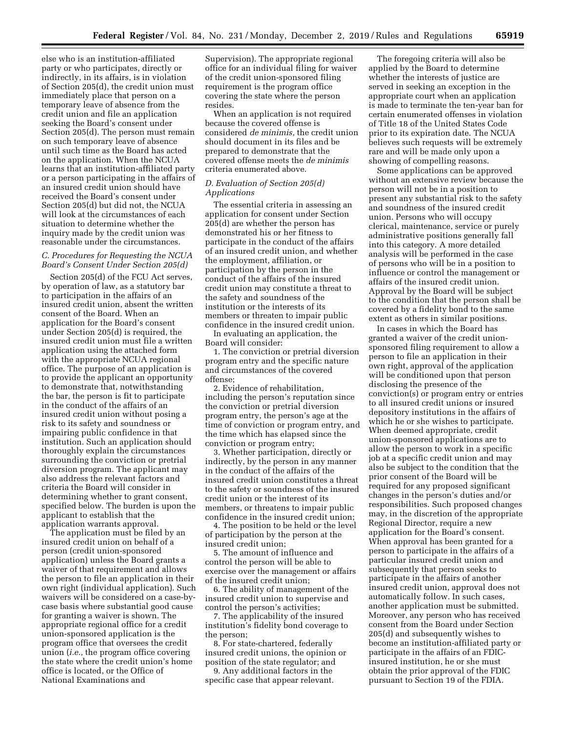else who is an institution-affiliated party or who participates, directly or indirectly, in its affairs, is in violation of Section 205(d), the credit union must immediately place that person on a temporary leave of absence from the credit union and file an application seeking the Board's consent under Section 205(d). The person must remain on such temporary leave of absence until such time as the Board has acted on the application. When the NCUA learns that an institution-affiliated party or a person participating in the affairs of an insured credit union should have received the Board's consent under Section 205(d) but did not, the NCUA will look at the circumstances of each situation to determine whether the inquiry made by the credit union was reasonable under the circumstances.

#### *C. Procedures for Requesting the NCUA Board's Consent Under Section 205(d)*

Section 205(d) of the FCU Act serves, by operation of law, as a statutory bar to participation in the affairs of an insured credit union, absent the written consent of the Board. When an application for the Board's consent under Section 205(d) is required, the insured credit union must file a written application using the attached form with the appropriate NCUA regional office. The purpose of an application is to provide the applicant an opportunity to demonstrate that, notwithstanding the bar, the person is fit to participate in the conduct of the affairs of an insured credit union without posing a risk to its safety and soundness or impairing public confidence in that institution. Such an application should thoroughly explain the circumstances surrounding the conviction or pretrial diversion program. The applicant may also address the relevant factors and criteria the Board will consider in determining whether to grant consent, specified below. The burden is upon the applicant to establish that the application warrants approval.

The application must be filed by an insured credit union on behalf of a person (credit union-sponsored application) unless the Board grants a waiver of that requirement and allows the person to file an application in their own right (individual application). Such waivers will be considered on a case-bycase basis where substantial good cause for granting a waiver is shown. The appropriate regional office for a credit union-sponsored application is the program office that oversees the credit union (*i.e.,* the program office covering the state where the credit union's home office is located, or the Office of National Examinations and

Supervision). The appropriate regional office for an individual filing for waiver of the credit union-sponsored filing requirement is the program office covering the state where the person resides.

When an application is not required because the covered offense is considered *de minimis,* the credit union should document in its files and be prepared to demonstrate that the covered offense meets the *de minimis*  criteria enumerated above.

#### *D. Evaluation of Section 205(d) Applications*

The essential criteria in assessing an application for consent under Section 205(d) are whether the person has demonstrated his or her fitness to participate in the conduct of the affairs of an insured credit union, and whether the employment, affiliation, or participation by the person in the conduct of the affairs of the insured credit union may constitute a threat to the safety and soundness of the institution or the interests of its members or threaten to impair public confidence in the insured credit union.

In evaluating an application, the Board will consider:

1. The conviction or pretrial diversion program entry and the specific nature and circumstances of the covered offense;

2. Evidence of rehabilitation, including the person's reputation since the conviction or pretrial diversion program entry, the person's age at the time of conviction or program entry, and the time which has elapsed since the conviction or program entry;

3. Whether participation, directly or indirectly, by the person in any manner in the conduct of the affairs of the insured credit union constitutes a threat to the safety or soundness of the insured credit union or the interest of its members, or threatens to impair public confidence in the insured credit union;

4. The position to be held or the level of participation by the person at the insured credit union;

5. The amount of influence and control the person will be able to exercise over the management or affairs of the insured credit union;

6. The ability of management of the insured credit union to supervise and control the person's activities;

7. The applicability of the insured institution's fidelity bond coverage to the person;

8. For state-chartered, federally insured credit unions, the opinion or position of the state regulator; and

9. Any additional factors in the specific case that appear relevant.

The foregoing criteria will also be applied by the Board to determine whether the interests of justice are served in seeking an exception in the appropriate court when an application is made to terminate the ten-year ban for certain enumerated offenses in violation of Title 18 of the United States Code prior to its expiration date. The NCUA believes such requests will be extremely rare and will be made only upon a showing of compelling reasons.

Some applications can be approved without an extensive review because the person will not be in a position to present any substantial risk to the safety and soundness of the insured credit union. Persons who will occupy clerical, maintenance, service or purely administrative positions generally fall into this category. A more detailed analysis will be performed in the case of persons who will be in a position to influence or control the management or affairs of the insured credit union. Approval by the Board will be subject to the condition that the person shall be covered by a fidelity bond to the same extent as others in similar positions.

In cases in which the Board has granted a waiver of the credit unionsponsored filing requirement to allow a person to file an application in their own right, approval of the application will be conditioned upon that person disclosing the presence of the conviction(s) or program entry or entries to all insured credit unions or insured depository institutions in the affairs of which he or she wishes to participate. When deemed appropriate, credit union-sponsored applications are to allow the person to work in a specific job at a specific credit union and may also be subject to the condition that the prior consent of the Board will be required for any proposed significant changes in the person's duties and/or responsibilities. Such proposed changes may, in the discretion of the appropriate Regional Director, require a new application for the Board's consent. When approval has been granted for a person to participate in the affairs of a particular insured credit union and subsequently that person seeks to participate in the affairs of another insured credit union, approval does not automatically follow. In such cases, another application must be submitted. Moreover, any person who has received consent from the Board under Section 205(d) and subsequently wishes to become an institution-affiliated party or participate in the affairs of an FDICinsured institution, he or she must obtain the prior approval of the FDIC pursuant to Section 19 of the FDIA.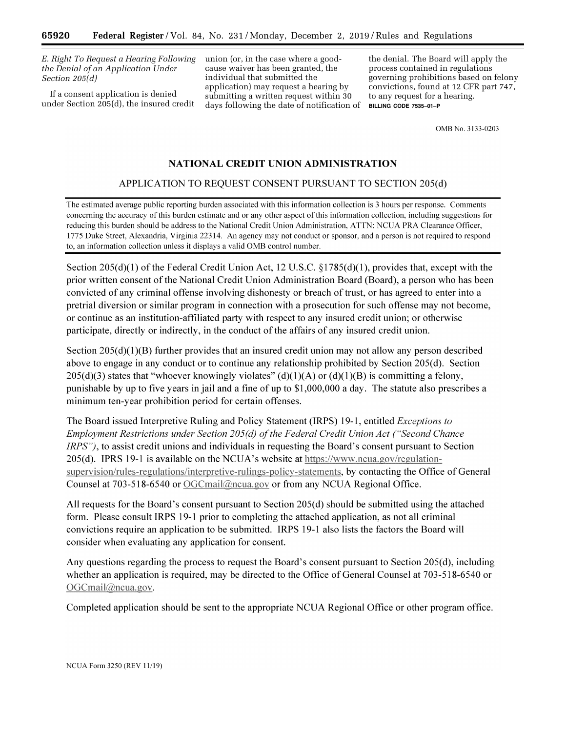*E. Right To Request a Hearing Following the Denial of an Application Under Section 205(d)* 

If a consent application is denied under Section 205(d), the insured credit union (or, in the case where a goodcause waiver has been granted, the individual that submitted the application) may request a hearing by submitting a written request within 30 days following the date of notification of

the denial. The Board will apply the process contained in regulations governing prohibitions based on felony convictions, found at 12 CFR part 747, to any request for a hearing. **BILLING CODE 7535–01–P** 

OMB No. 3133-0203

# NATIONAL CREDIT UNION ADMINISTRATION

# APPLICATION TO REQUEST CONSENT PURSUANT TO SECTION 205(d)

The estimated average public reporting burden associated with this information collection is 3 hours per response. Comments concerning the accuracy of this burden estimate and or any other aspect of this information collection, including suggestions for reducing this burden should be address to the National Credit Union Administration, ATTN: NCUA PRA Clearance Officer, 1775 Duke Street, Alexandria, Virginia 22314. An agency may not conduct or sponsor, and a person is not required to respond to, an information collection unless it displays a valid OMB control number.

Section 205(d)(1) of the Federal Credit Union Act, 12 U.S.C.  $\S1785(d)(1)$ , provides that, except with the prior written consent of the National Credit Union Administration Board (Board), a person who has been convicted of any criminal offense involving dishonesty or breach of trust, or has agreed to enter into a pretrial diversion or similar program in connection with a prosecution for such offense may not become, or continue as an institution-affiliated party with respect to any insured credit union; or otherwise participate, directly or indirectly, in the conduct of the affairs of any insured credit union.

Section  $205(d)(1)(B)$  further provides that an insured credit union may not allow any person described above to engage in any conduct or to continue any relationship prohibited by Section 205(d). Section  $205(d)(3)$  states that "whoever knowingly violates" (d)(1)(A) or (d)(1)(B) is committing a felony, punishable by up to five years in jail and a fine of up to \$1,000,000 a day. The statute also prescribes a minimum ten-year prohibition period for certain offenses.

The Board issued Interpretive Ruling and Policy Statement (IRPS) 19-1, entitled *Exceptions to* Employment Restrictions under Section 205(d) of the Federal Credit Union Act ("Second Chance *IRPS"*), to assist credit unions and individuals in requesting the Board's consent pursuant to Section 205(d). IPRS 19-1 is available on the NCUA's website at https://www.ncua.gov/regulationsupervision/rules-regulations/interpretive-rulings-policy-statements, by contacting the Office of General Counsel at 703-518-6540 or OGCmail@ncua.gov or from any NCUA Regional Office.

All requests for the Board's consent pursuant to Section 205(d) should be submitted using the attached form. Please consult IRPS 19-1 prior to completing the attached application, as not all criminal convictions require an application to be submitted. IRPS 19-1 also lists the factors the Board will consider when evaluating any application for consent.

Any questions regarding the process to request the Board's consent pursuant to Section 205(d), including whether an application is required, may be directed to the Office of General Counsel at 703-518-6540 or OGCmail@ncua.gov.

Completed application should be sent to the appropriate NCUA Regional Office or other program office.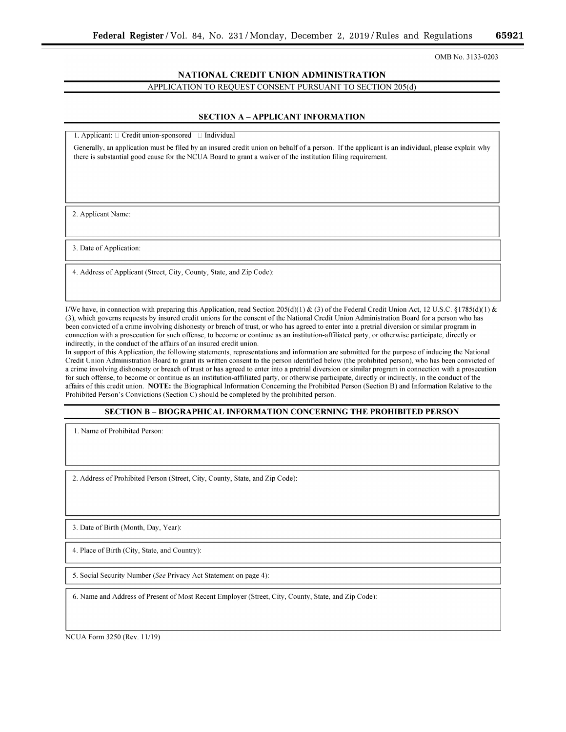OMB No. 3133-0203

# NATIONAL CREDIT UNION ADMINISTRATION APPLICATION TO REQUEST CONSENT PURSUANT TO SECTION 205(d)

#### **SECTION A - APPLICANT INFORMATION**

1. Applicant:  $\Box$  Credit union-sponsored  $\Box$  Individual

Generally, an application must be filed by an insured credit union on behalf of a person. If the applicant is an individual, please explain why there is substantial good cause for the NCUA Board to grant a waiver of the institution filing requirement.

2. Applicant Name:

3. Date of Application:

4. Address of Applicant (Street, City, County, State, and Zip Code):

I/We have, in connection with preparing this Application, read Section 205(d)(1) & (3) of the Federal Credit Union Act, 12 U.S.C. §1785(d)(1) & (3), which governs requests by insured credit unions for the consent of the National Credit Union Administration Board for a person who has been convicted of a crime involving dishonesty or breach of trust, or who has agreed to enter into a pretrial diversion or similar program in connection with a prosecution for such offense, to become or continue as an institution-affiliated party, or otherwise participate, directly or indirectly, in the conduct of the affairs of an insured credit union.

In support of this Application, the following statements, representations and information are submitted for the purpose of inducing the National Credit Union Administration Board to grant its written consent to the person identified below (the prohibited person), who has been convicted of a crime involving dishonesty or breach of trust or has agreed to enter into a pretrial diversion or similar program in connection with a prosecution for such offense, to become or continue as an institution-affiliated party, or otherwise participate, directly or indirectly, in the conduct of the affairs of this credit union. NOTE: the Biographical Information Concerning the Prohibited Person (Section B) and Information Relative to the Prohibited Person's Convictions (Section C) should be completed by the prohibited person.

# **SECTION B-BIOGRAPHICAL INFORMATION CONCERNING THE PROHIBITED PERSON**

1. Name of Prohibited Person:

2. Address of Prohibited Person (Street, City, County, State, and Zip Code):

3. Date of Birth (Month, Day, Year):

4. Place of Birth (City, State, and Country):

5. Social Security Number (See Privacy Act Statement on page 4):

6. Name and Address of Present of Most Recent Employer (Street, City, County, State, and Zip Code):

NCUA Form 3250 (Rev. 11/19)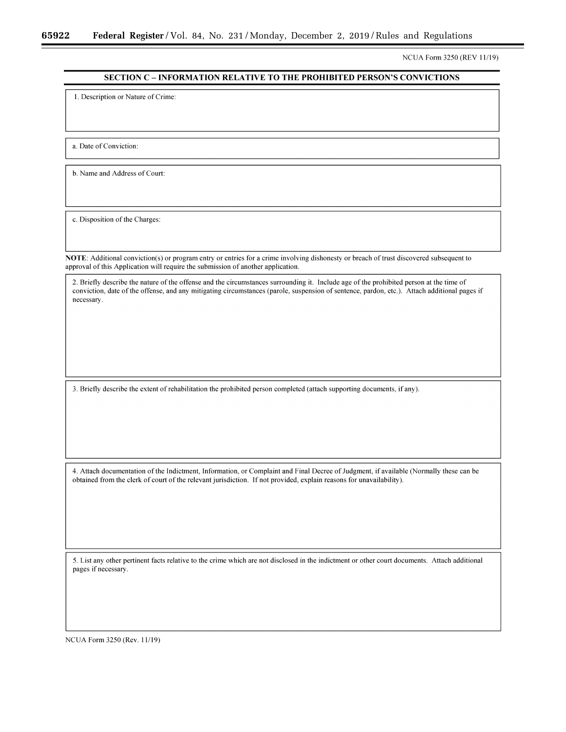NCUA Form 3250 (REV 11/19)

# **SECTION C - INFORMATION RELATIVE TO THE PROHIBITED PERSON'S CONVICTIONS**

1. Description or Nature of Crime:

a. Date of Conviction:

b. Name and Address of Court:

c. Disposition of the Charges:

NOTE: Additional conviction(s) or program entry or entries for a crime involving dishonesty or breach of trust discovered subsequent to approval of this Application will require the submission of another application.

2. Briefly describe the nature of the offense and the circumstances surrounding it. Include age of the prohibited person at the time of conviction, date of the offense, and any mitigating circumstances (parole, suspension of sentence, pardon, etc.). Attach additional pages if necessary.

3. Briefly describe the extent of rehabilitation the prohibited person completed (attach supporting documents, if any).

4. Attach documentation of the Indictment, Information, or Complaint and Final Decree of Judgment, if available (Normally these can be obtained from the clerk of court of the relevant jurisdiction. If not provided, explain reasons for unavailability).

5. List any other pertinent facts relative to the crime which are not disclosed in the indictment or other court documents. Attach additional pages if necessary.

NCUA Form 3250 (Rev. 11/19)